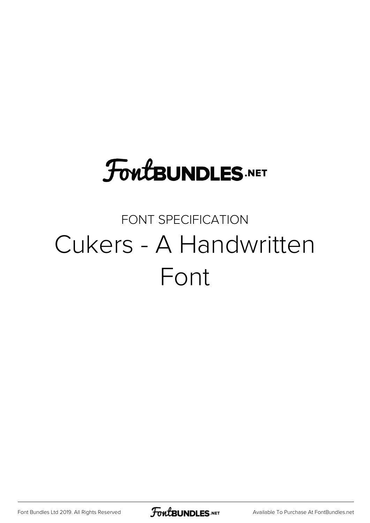# **FoutBUNDLES.NET**

### FONT SPECIFICATION Cukers - A Handwritten Font

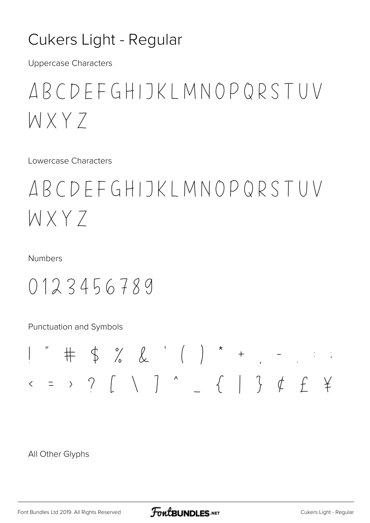#### Cukers Light - Regular

**Uppercase Characters** 

### ABCDEFGHIJKLMNOPQRSTUV WXY7

Lowercase Characters

# ABCDEFGHIJKLMNOPQRSTUV WXY7

**Numbers** 

#### 0123456789

Punctuation and Symbols

#### All Other Glyphs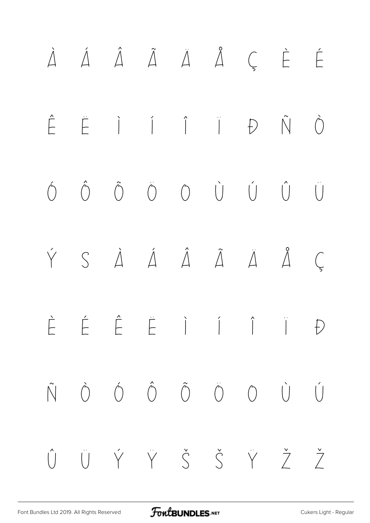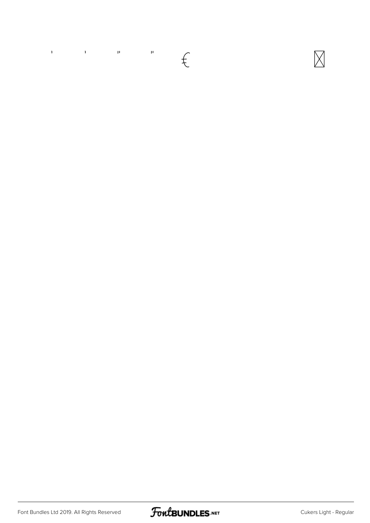|  |  | $\begin{picture}(180,10) \put(0,0){\vector(1,0){10}} \put(10,0){\vector(1,0){10}} \put(10,0){\vector(1,0){10}} \put(10,0){\vector(1,0){10}} \put(10,0){\vector(1,0){10}} \put(10,0){\vector(1,0){10}} \put(10,0){\vector(1,0){10}} \put(10,0){\vector(1,0){10}} \put(10,0){\vector(1,0){10}} \put(10,0){\vector(1,0){10}} \put(10,0){\vector(1,0){10}} \put(10,0){\vector($ |  |  |
|--|--|-----------------------------------------------------------------------------------------------------------------------------------------------------------------------------------------------------------------------------------------------------------------------------------------------------------------------------------------------------------------------------|--|--|
|--|--|-----------------------------------------------------------------------------------------------------------------------------------------------------------------------------------------------------------------------------------------------------------------------------------------------------------------------------------------------------------------------------|--|--|



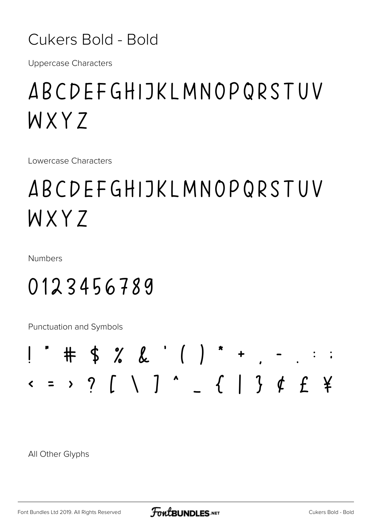#### Cukers Bold - Bold

**Uppercase Characters** 

# ABCDEFGHIJKLMNOPQRSTUV WXYZ

Lowercase Characters

# ABCDEFGHIJKLMNOPQRSTUV WXYZ

**Numbers** 

### 0123456789

Punctuation and Symbols

$$
1^* # \$ % & ( )^* + , -
$$
  
 $\leftarrow$ 

All Other Glyphs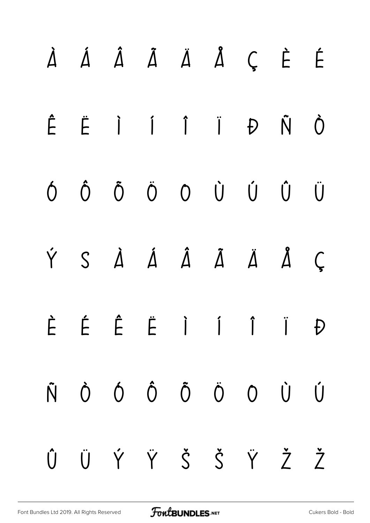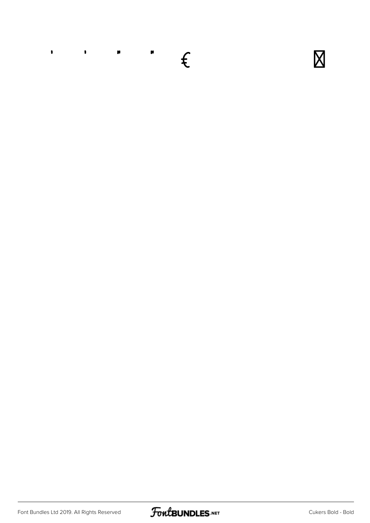

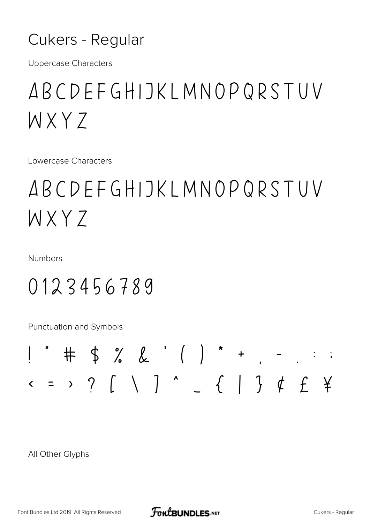#### Cukers - Regular

**Uppercase Characters** 

### ABCDEFGHIJKLMNOPQRSTUV WXYZ

Lowercase Characters

# ABCDEFGHIJKLMNOPQRSTUV WXY7

**Numbers** 

#### 0123456789

Punctuation and Symbols

$$
1" # $ % & ( ) * + , - : :< -
$$
 ? ? [ \ \ ] ^ ' \_ - { ] ^ \* } { f } { f } { f }

All Other Glyphs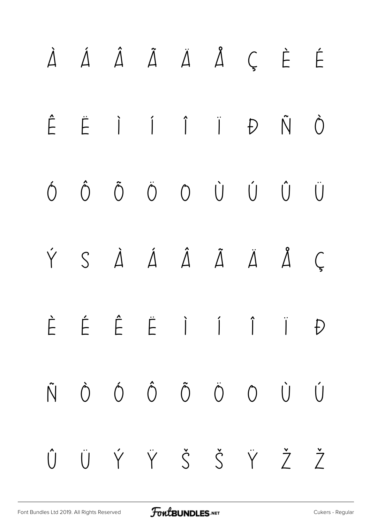